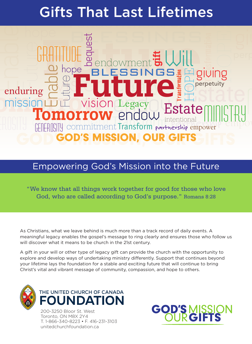# ts That Last Lifetimes <u>Cit</u> Gifts That Last Lifetimes

Legacy<br>Prodout Es Future blessings **Future BETU** enduring  $\underline{\mathcal{F}}$   $\underline{\mathcal{F}}$ <br>
mission Lu Vision Legacy<br>
Tomorrow endoup Estate MINCTRU ULLUW EI IUUW intentional |||||||<br>commitment Transform partnership empower Enable intentional Transformation hope HOPE **LULLULLUV** tur enduring perpetuity empoy GOD'S MISSION, OUR GIFTS end Pe BLESSINGS Future  $ISIO$ **Tomorrow** endow Estate Enable **international Transformation** hope HOPE bequest gift generosity Ministry Gratitude Legacy enduring  $\overline{\mathcal{O}}$   $\overline{\mathcal{O}}$   $\overline{\mathcal{O}}$   $\overline{\mathcal{O}}$   $\overline{\mathcal{O}}$   $\overline{\mathcal{O}}$   $\overline{\mathcal{O}}$   $\overline{\mathcal{O}}$   $\overline{\mathcal{O}}$   $\overline{\mathcal{O}}$   $\overline{\mathcal{O}}$   $\overline{\mathcal{O}}$   $\overline{\mathcal{O}}$   $\overline{\mathcal{O}}$   $\overline{\mathcal{O}}$   $\overline{\mathcal{O}}$   $\overline{\mathcal{O}}$   $\overline{\mathcal{$ giving **IISSI** GOD'S MISSION, OUR GIFTS endowment Will

# Empowering God's Mission into the Future

"We know that all things work together for good for those who love God, who are called according to God's purpose." Romans 8:28

As Christians, what we leave behind is much more than a track record of daily events. A meaningful legacy enables the gospel's message to ring clearly and ensures those who follow us will discover what it means to be church in the 21st century.

A gift in your will or other type of legacy gift can provide the church with the opportunity to explore and develop ways of undertaking ministry differently. Support that continues beyond your lifetime lays the foundation for a stable and exciting future that will continue to bring Christ's vital and vibrant message of community, compassion, and hope to others.



200-3250 Bloor St. West Toronto, ON M8X 2Y4 T. 1-866-340-8223 • F. 416-231-3103 unitedchurchfoundation.ca

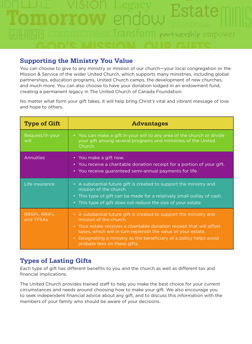# endow  $VICION$   $\Box$ vision Tomorrow endow Estate Transform  $Estat$ generosity minis Legacy empower GOD'S MISSION, OUR GIFTS partnership

### **Supporting the Ministry You Value**

You can choose to give to any ministry or mission of our church—your local congregation or the Mission & Service of the wider United Church, which supports many ministries, including global partnerships, education programs, United Church camps, the development of new churches, and much more. You can also choose to have your donation lodged in an endowment fund, creating a permanent legacy in The United Church of Canada Foundation.

No matter what form your gift takes, it will help bring Christ's vital and vibrant message of love and hope to others.

| <b>Type of Gift</b>        | <b>Advantages</b>                                                                                                                                                                                                                                                                                                                             |
|----------------------------|-----------------------------------------------------------------------------------------------------------------------------------------------------------------------------------------------------------------------------------------------------------------------------------------------------------------------------------------------|
| Bequest/In your<br>will    | • You can make a gift in your will to any area of the church or divide<br>your gift among several programs and ministries of the United<br>Church.                                                                                                                                                                                            |
| <b>Annuities</b>           | • You make a gift now.<br>• You receive a charitable donation receipt for a portion of your gift.<br>• You receive guaranteed semi-annual payments for life.                                                                                                                                                                                  |
| Life insurance             | • A substantial future gift is created to support the ministry and<br>mission of the church.<br>• This type of gift can be made for a relatively small outlay of cash.<br>• This type of gift does not reduce the size of your estate.                                                                                                        |
| RRSPs, RRIFs,<br>and TFSAs | • A substantial future gift is created to support the ministry and<br>mission of the church.<br>• Your estate receives a charitable donation receipt that will offset<br>taxes, which will in turn replenish the value of your estate.<br>• Designating a ministry as the beneficiary of a policy helps avoid<br>probate fees on these gifts. |

# **Types of Lasting Gifts**

Each type of gift has different benefits to you and the church as well as different tax and financial implications.

The United Church provides trained staff to help you make the best choice for your current circumstances and needs around choosing how to make your gift. We also encourage you to seek independent financial advice about any gift, and to discuss this information with the members of your family who should be aware of your decisions.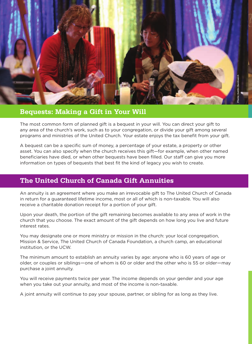

#### **Bequests: Making a Gift in Your Will**

The most common form of planned gift is a bequest in your will. You can direct your gift to any area of the church's work, such as to your congregation, or divide your gift among several programs and ministries of the United Church. Your estate enjoys the tax benefit from your gift.

A bequest can be a specific sum of money, a percentage of your estate, a property or other asset. You can also specify when the church receives this gift—for example, when other named beneficiaries have died, or when other bequests have been filled. Our staff can give you more information on types of bequests that best fit the kind of legacy you wish to create.

# **The United Church of Canada Gift Annuities**

An annuity is an agreement where you make an irrevocable gift to The United Church of Canada in return for a guaranteed lifetime income, most or all of which is non-taxable. You will also receive a charitable donation receipt for a portion of your gift.

Upon your death, the portion of the gift remaining becomes available to any area of work in the church that you choose. The exact amount of the gift depends on how long you live and future interest rates.

You may designate one or more ministry or mission in the church: your local congregation, Mission & Service, The United Church of Canada Foundation, a church camp, an educational institution, or the UCW.

The minimum amount to establish an annuity varies by age: anyone who is 60 years of age or older, or couples or siblings—one of whom is 60 or older and the other who is 55 or older—may purchase a joint annuity.

You will receive payments twice per year. The income depends on your gender and your age when you take out your annuity, and most of the income is non-taxable.

A joint annuity will continue to pay your spouse, partner, or sibling for as long as they live.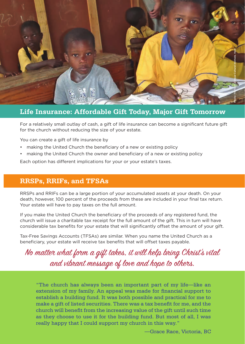

#### **Life Insurance: Affordable Gift Today, Major Gift Tomorrow**

For a relatively small outlay of cash, a gift of life insurance can become a significant future gift for the church without reducing the size of your estate.

You can create a gift of life insurance by

- making the United Church the beneficiary of a new or existing policy
- making the United Church the owner and beneficiary of a new or existing policy

Each option has different implications for your or your estate's taxes.

#### **RRSPs, RRIFs, and TFSAs**

RRSPs and RRIFs can be a large portion of your accumulated assets at your death. On your death, however, 100 percent of the proceeds from these are included in your final tax return. Your estate will have to pay taxes on the full amount.

If you make the United Church the beneficiary of the proceeds of any registered fund, the church will issue a charitable tax receipt for the full amount of the gift. This in turn will have considerable tax benefits for your estate that will significantly offset the amount of your gift.

Tax-Free Savings Accounts (TFSAs) are similar. When you name the United Church as a beneficiary, your estate will receive tax benefits that will offset taxes payable.

No matter what form a gift takes, it will help bring Christ's vital and vibrant message of love and hope to others.

"The church has always been an important part of my life—like an extension of my family. An appeal was made for financial support to establish a building fund. It was both possible and practical for me to make a gift of listed securities. There was a tax benefit for me, and the church will benefit from the increasing value of the gift until such time as they choose to use it for the building fund. But most of all, I was really happy that I could support my church in this way."

—Grace Race, Victoria, BC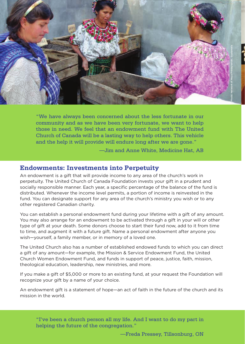

"We have always been concerned about the less fortunate in our community and as we have been very fortunate, we want to help those in need. We feel that an endowment fund with The United Church of Canada will be a lasting way to help others. This vehicle and the help it will provide will endure long after we are gone."

—Jim and Anne White, Medicine Hat, AB

#### **Endowments: Investments into Perpetuity**

An endowment is a gift that will provide income to any area of the church's work in perpetuity. The United Church of Canada Foundation invests your gift in a prudent and socially responsible manner. Each year, a specific percentage of the balance of the fund is distributed. Whenever the income level permits, a portion of income is reinvested in the fund. You can designate support for any area of the church's ministry you wish or to any other registered Canadian charity.

You can establish a personal endowment fund during your lifetime with a gift of any amount. You may also arrange for an endowment to be activated through a gift in your will or other type of gift at your death. Some donors choose to start their fund now, add to it from time to time, and augment it with a future gift. Name a personal endowment after anyone you wish—yourself, a family member, or in memory of a loved one.

The United Church also has a number of established endowed funds to which you can direct a gift of any amount—for example, the Mission & Service Endowment Fund, the United Church Women Endowment Fund, and funds in support of peace, justice, faith, mission, theological education, leadership, new ministries, and more.

If you make a gift of \$5,000 or more to an existing fund, at your request the Foundation will recognize your gift by a name of your choice.

An endowment gift is a statement of hope—an act of faith in the future of the church and its mission in the world.

"I've been a church person all my life. And I want to do my part in helping the future of the congregation."

—Freda Pressey, Tillsonburg, ON